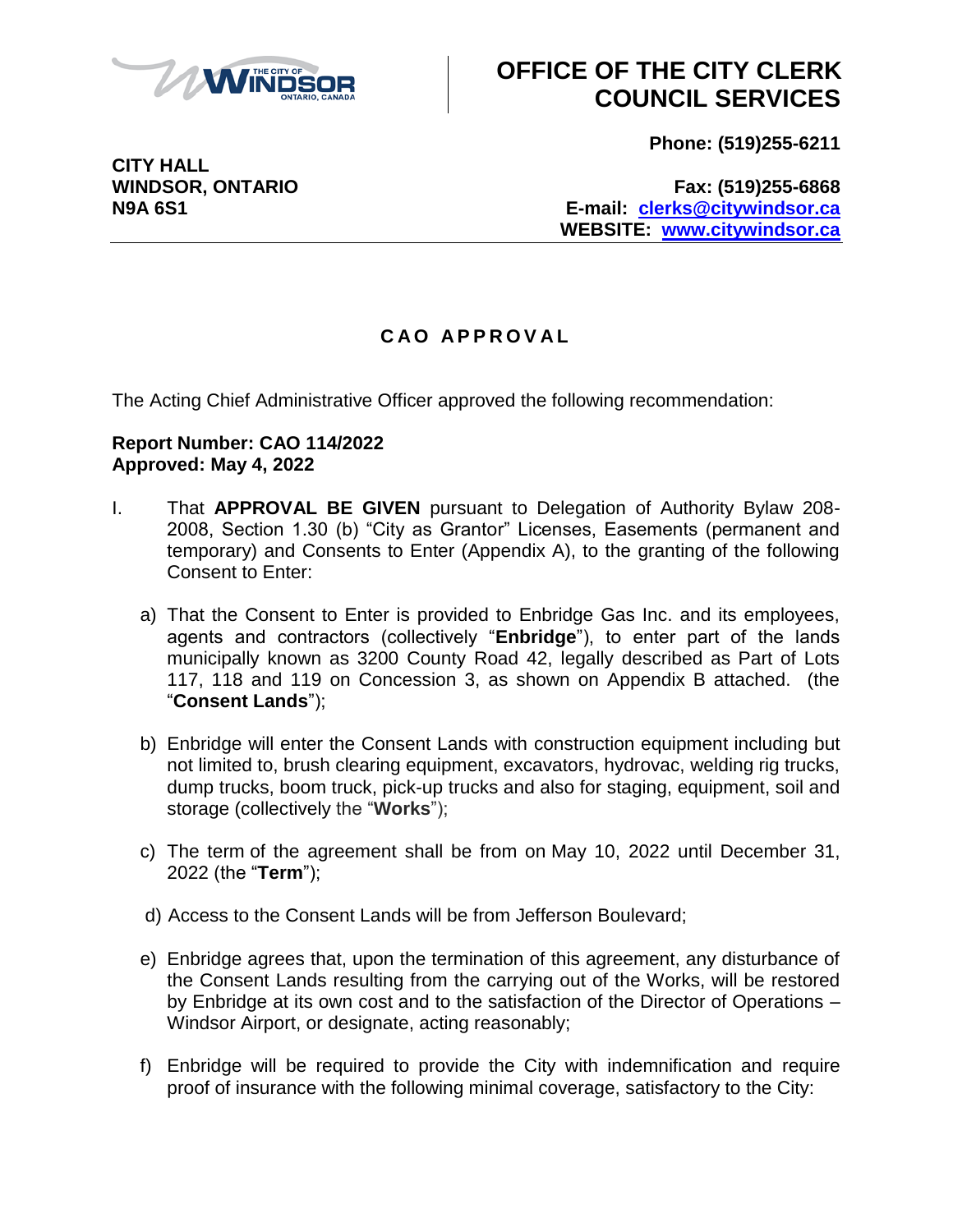

## **OFFICE OF THE CITY CLERK COUNCIL SERVICES**

**Phone: (519)255-6211**

**CITY HALL**

**WINDSOR, ONTARIO Fax: (519)255-6868 N9A 6S1 E-mail: [clerks@citywindsor.ca](mailto:clerks@citywindsor.ca) WEBSITE: [www.citywindsor.ca](http://www.citywindsor.ca/)**

## **C A O A P P R O V A L**

The Acting Chief Administrative Officer approved the following recommendation:

## **Report Number: CAO 114/2022 Approved: May 4, 2022**

- I. That **APPROVAL BE GIVEN** pursuant to Delegation of Authority Bylaw 208- 2008, Section 1.30 (b) "City as Grantor" Licenses, Easements (permanent and temporary) and Consents to Enter (Appendix A), to the granting of the following Consent to Enter:
	- a) That the Consent to Enter is provided to Enbridge Gas Inc. and its employees, agents and contractors (collectively "**Enbridge**"), to enter part of the lands municipally known as 3200 County Road 42, legally described as Part of Lots 117, 118 and 119 on Concession 3, as shown on Appendix B attached. (the "**Consent Lands**");
	- b) Enbridge will enter the Consent Lands with construction equipment including but not limited to, brush clearing equipment, excavators, hydrovac, welding rig trucks, dump trucks, boom truck, pick-up trucks and also for staging, equipment, soil and storage (collectively the "**Works**");
	- c) The term of the agreement shall be from on May 10, 2022 until December 31, 2022 (the "**Term**");
	- d) Access to the Consent Lands will be from Jefferson Boulevard;
	- e) Enbridge agrees that, upon the termination of this agreement, any disturbance of the Consent Lands resulting from the carrying out of the Works, will be restored by Enbridge at its own cost and to the satisfaction of the Director of Operations – Windsor Airport, or designate, acting reasonably;
	- f) Enbridge will be required to provide the City with indemnification and require proof of insurance with the following minimal coverage, satisfactory to the City: